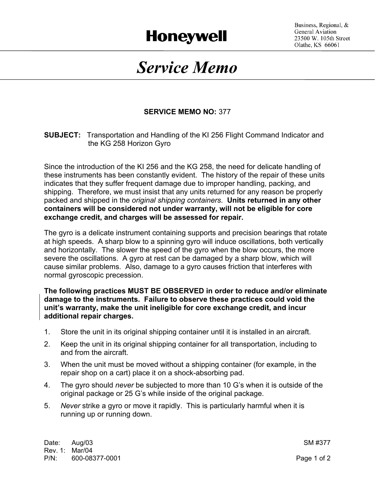# **Honeywell**

Business, Regional, & General Aviation 23500 W. 105th Street Olathe, KS 66061

# *Service Memo*

### **SERVICE MEMO NO:** 377

### **SUBJECT:** Transportation and Handling of the KI 256 Flight Command Indicator and the KG 258 Horizon Gyro

Since the introduction of the KI 256 and the KG 258, the need for delicate handling of these instruments has been constantly evident. The history of the repair of these units indicates that they suffer frequent damage due to improper handling, packing, and shipping. Therefore, we must insist that any units returned for any reason be properly packed and shipped in the *original shipping containers*. **Units returned in any other containers will be considered not under warranty, will not be eligible for core exchange credit, and charges will be assessed for repair.**

The gyro is a delicate instrument containing supports and precision bearings that rotate at high speeds. A sharp blow to a spinning gyro will induce oscillations, both vertically and horizontally. The slower the speed of the gyro when the blow occurs, the more severe the oscillations. A gyro at rest can be damaged by a sharp blow, which will cause similar problems. Also, damage to a gyro causes friction that interferes with normal gyroscopic precession.

#### **The following practices MUST BE OBSERVED in order to reduce and/or eliminate damage to the instruments. Failure to observe these practices could void the unit's warranty, make the unit ineligible for core exchange credit, and incur additional repair charges.**

- 1. Store the unit in its original shipping container until it is installed in an aircraft.
- 2. Keep the unit in its original shipping container for all transportation, including to and from the aircraft.
- 3. When the unit must be moved without a shipping container (for example, in the repair shop on a cart) place it on a shock-absorbing pad.
- 4. The gyro should *never* be subjected to more than 10 G's when it is outside of the original package or 25 G's while inside of the original package.
- 5. *Never* strike a gyro or move it rapidly. This is particularly harmful when it is running up or running down.